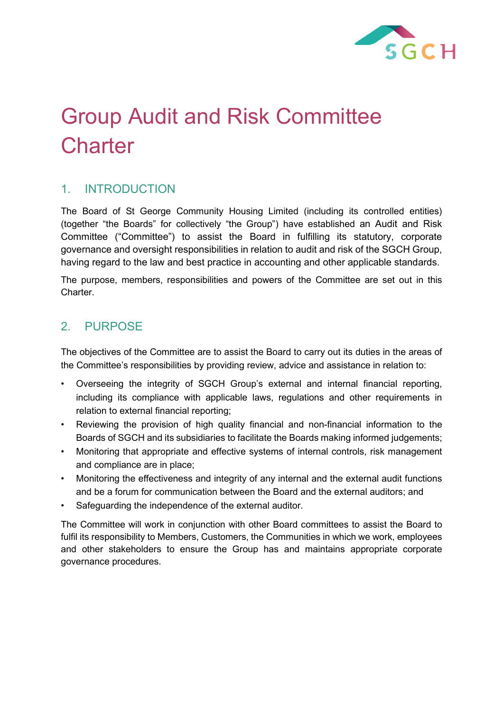

# Group Audit and Risk Committee **Charter**

# 1. INTRODUCTION

The Board of St George Community Housing Limited (including its controlled entities) (together "the Boards" for collectively "the Group") have established an Audit and Risk Committee ("Committee") to assist the Board in fulfilling its statutory, corporate governance and oversight responsibilities in relation to audit and risk of the SGCH Group, having regard to the law and best practice in accounting and other applicable standards.

The purpose, members, responsibilities and powers of the Committee are set out in this Charter.

## 2. PURPOSE

The objectives of the Committee are to assist the Board to carry out its duties in the areas of the Committee's responsibilities by providing review, advice and assistance in relation to:

- Overseeing the integrity of SGCH Group's external and internal financial reporting, including its compliance with applicable laws, regulations and other requirements in relation to external financial reporting;
- Reviewing the provision of high quality financial and non-financial information to the Boards of SGCH and its subsidiaries to facilitate the Boards making informed judgements;
- Monitoring that appropriate and effective systems of internal controls, risk management and compliance are in place;
- Monitoring the effectiveness and integrity of any internal and the external audit functions and be a forum for communication between the Board and the external auditors; and
- Safeguarding the independence of the external auditor.

The Committee will work in conjunction with other Board committees to assist the Board to fulfil its responsibility to Members, Customers, the Communities in which we work, employees and other stakeholders to ensure the Group has and maintains appropriate corporate governance procedures.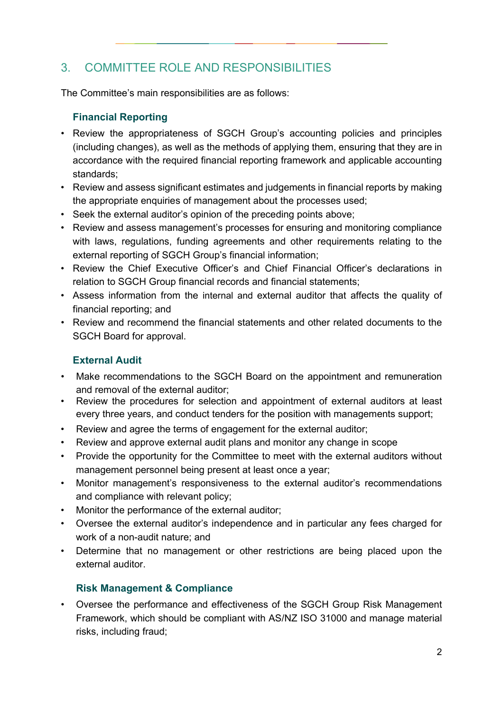# 3. COMMITTEE ROLE AND RESPONSIBILITIES

The Committee's main responsibilities are as follows:

#### **Financial Reporting**

- Review the appropriateness of SGCH Group's accounting policies and principles (including changes), as well as the methods of applying them, ensuring that they are in accordance with the required financial reporting framework and applicable accounting standards;
- Review and assess significant estimates and judgements in financial reports by making the appropriate enquiries of management about the processes used;
- Seek the external auditor's opinion of the preceding points above;
- Review and assess management's processes for ensuring and monitoring compliance with laws, regulations, funding agreements and other requirements relating to the external reporting of SGCH Group's financial information;
- Review the Chief Executive Officer's and Chief Financial Officer's declarations in relation to SGCH Group financial records and financial statements;
- Assess information from the internal and external auditor that affects the quality of financial reporting; and
- Review and recommend the financial statements and other related documents to the SGCH Board for approval.

### **External Audit**

- Make recommendations to the SGCH Board on the appointment and remuneration and removal of the external auditor;
- Review the procedures for selection and appointment of external auditors at least every three years, and conduct tenders for the position with managements support;
- Review and agree the terms of engagement for the external auditor;
- Review and approve external audit plans and monitor any change in scope
- Provide the opportunity for the Committee to meet with the external auditors without management personnel being present at least once a year;
- Monitor management's responsiveness to the external auditor's recommendations and compliance with relevant policy;
- Monitor the performance of the external auditor;
- Oversee the external auditor's independence and in particular any fees charged for work of a non-audit nature; and
- Determine that no management or other restrictions are being placed upon the external auditor.

### **Risk Management & Compliance**

• Oversee the performance and effectiveness of the SGCH Group Risk Management Framework, which should be compliant with AS/NZ ISO 31000 and manage material risks, including fraud;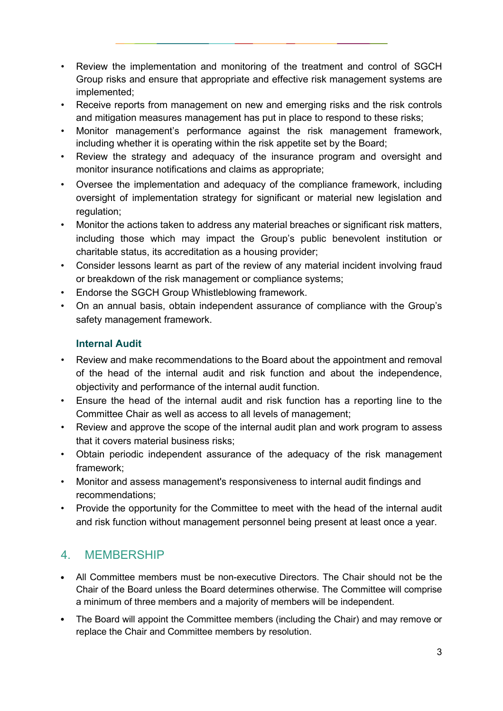- Review the implementation and monitoring of the treatment and control of SGCH Group risks and ensure that appropriate and effective risk management systems are implemented;
- Receive reports from management on new and emerging risks and the risk controls and mitigation measures management has put in place to respond to these risks;
- Monitor management's performance against the risk management framework, including whether it is operating within the risk appetite set by the Board;
- Review the strategy and adequacy of the insurance program and oversight and monitor insurance notifications and claims as appropriate;
- Oversee the implementation and adequacy of the compliance framework, including oversight of implementation strategy for significant or material new legislation and regulation;
- Monitor the actions taken to address any material breaches or significant risk matters, including those which may impact the Group's public benevolent institution or charitable status, its accreditation as a housing provider;
- Consider lessons learnt as part of the review of any material incident involving fraud or breakdown of the risk management or compliance systems;
- Endorse the SGCH Group Whistleblowing framework.
- On an annual basis, obtain independent assurance of compliance with the Group's safety management framework.

#### **Internal Audit**

- Review and make recommendations to the Board about the appointment and removal of the head of the internal audit and risk function and about the independence, objectivity and performance of the internal audit function.
- Ensure the head of the internal audit and risk function has a reporting line to the Committee Chair as well as access to all levels of management;
- Review and approve the scope of the internal audit plan and work program to assess that it covers material business risks;
- Obtain periodic independent assurance of the adequacy of the risk management framework;
- Monitor and assess management's responsiveness to internal audit findings and recommendations;
- Provide the opportunity for the Committee to meet with the head of the internal audit and risk function without management personnel being present at least once a year.

# 4. MEMBERSHIP

- All Committee members must be non-executive Directors. The Chair should not be the Chair of the Board unless the Board determines otherwise. The Committee will comprise a minimum of three members and a majority of members will be independent.
- The Board will appoint the Committee members (including the Chair) and may remove or replace the Chair and Committee members by resolution.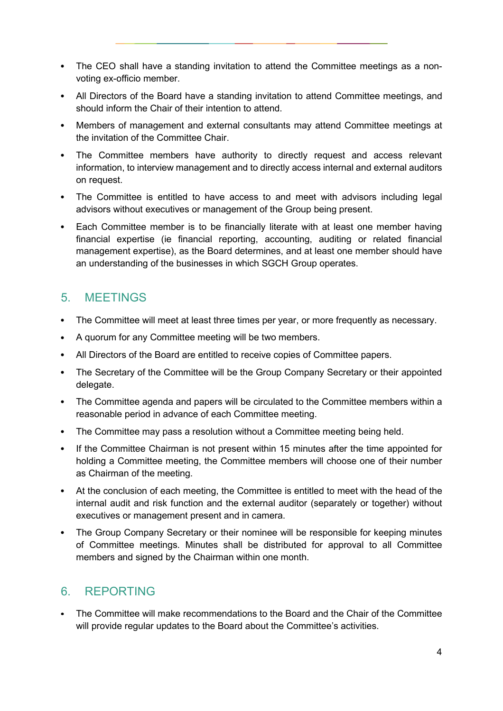- The CEO shall have a standing invitation to attend the Committee meetings as a nonvoting ex-officio member.
- All Directors of the Board have a standing invitation to attend Committee meetings, and should inform the Chair of their intention to attend.
- Members of management and external consultants may attend Committee meetings at the invitation of the Committee Chair.
- The Committee members have authority to directly request and access relevant information, to interview management and to directly access internal and external auditors on request.
- The Committee is entitled to have access to and meet with advisors including legal advisors without executives or management of the Group being present.
- Each Committee member is to be financially literate with at least one member having  $\bullet$ financial expertise (ie financial reporting, accounting, auditing or related financial management expertise), as the Board determines, and at least one member should have an understanding of the businesses in which SGCH Group operates.

## 5. MEETINGS

- The Committee will meet at least three times per year, or more frequently as necessary.
- A quorum for any Committee meeting will be two members.
- All Directors of the Board are entitled to receive copies of Committee papers.
- The Secretary of the Committee will be the Group Company Secretary or their appointed delegate.
- The Committee agenda and papers will be circulated to the Committee members within a reasonable period in advance of each Committee meeting.
- $\bullet$ The Committee may pass a resolution without a Committee meeting being held.
- If the Committee Chairman is not present within 15 minutes after the time appointed for  $\bullet$ holding a Committee meeting, the Committee members will choose one of their number as Chairman of the meeting.
- At the conclusion of each meeting, the Committee is entitled to meet with the head of the internal audit and risk function and the external auditor (separately or together) without executives or management present and in camera.
- The Group Company Secretary or their nominee will be responsible for keeping minutes of Committee meetings. Minutes shall be distributed for approval to all Committee members and signed by the Chairman within one month.

## 6. REPORTING

The Committee will make recommendations to the Board and the Chair of the Committee will provide regular updates to the Board about the Committee's activities.